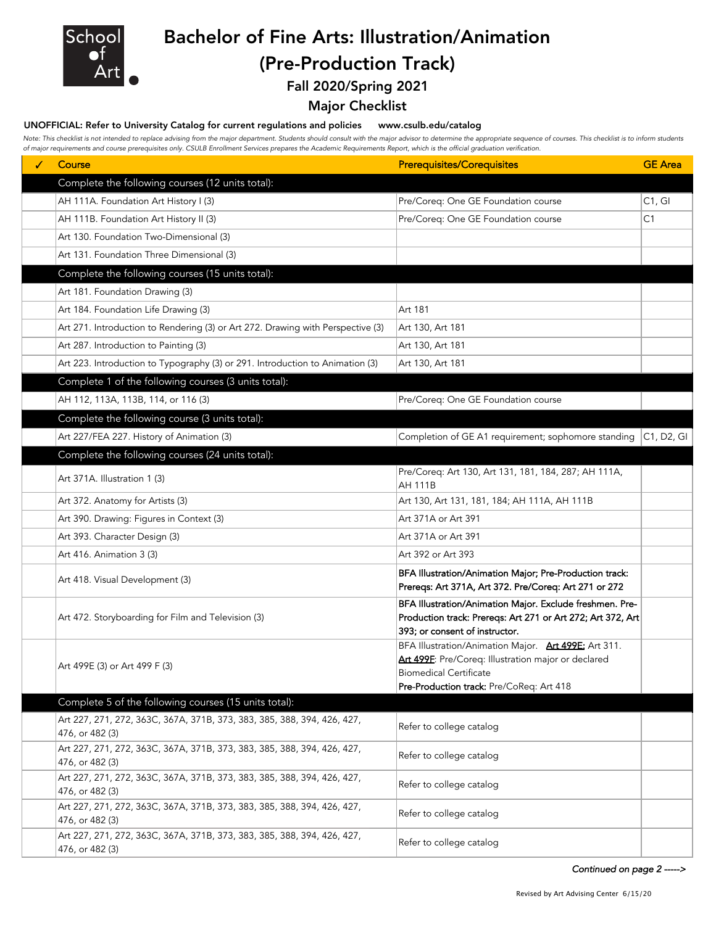

Bachelor of Fine Arts: Illustration/Animation (Pre-Production Track)

Fall 2020/Spring 2021

## Major Checklist

#### UNOFFICIAL: Refer to University Catalog for current regulations and policies www.csulb.edu/catalog

Note: This checklist is not intended to replace advising from the major department. Students should consult with the major advisor to determine the appropriate sequence of courses. This checklist is to inform students *of major requirements and course prerequisites only. CSULB Enrollment Services prepares the Academic Requirements Report, which is the official graduation verification.*

| ✓ | Course                                                                                     | <b>Prerequisites/Corequisites</b>                                      | <b>GE</b> Area |
|---|--------------------------------------------------------------------------------------------|------------------------------------------------------------------------|----------------|
|   |                                                                                            |                                                                        |                |
|   | Complete the following courses (12 units total):                                           |                                                                        |                |
|   | AH 111A. Foundation Art History I (3)                                                      | Pre/Coreq: One GE Foundation course                                    | C1, G1         |
|   | AH 111B. Foundation Art History II (3)                                                     | Pre/Coreq: One GE Foundation course                                    | C1             |
|   | Art 130. Foundation Two-Dimensional (3)                                                    |                                                                        |                |
|   | Art 131. Foundation Three Dimensional (3)                                                  |                                                                        |                |
|   | Complete the following courses (15 units total):                                           |                                                                        |                |
|   | Art 181. Foundation Drawing (3)                                                            |                                                                        |                |
|   | Art 184. Foundation Life Drawing (3)                                                       | Art 181                                                                |                |
|   | Art 271. Introduction to Rendering (3) or Art 272. Drawing with Perspective (3)            | Art 130, Art 181                                                       |                |
|   | Art 287. Introduction to Painting (3)                                                      | Art 130, Art 181                                                       |                |
|   | Art 223. Introduction to Typography (3) or 291. Introduction to Animation (3)              | Art 130, Art 181                                                       |                |
|   | Complete 1 of the following courses (3 units total):                                       |                                                                        |                |
|   | AH 112, 113A, 113B, 114, or 116 (3)                                                        | Pre/Coreq: One GE Foundation course                                    |                |
|   | Complete the following course (3 units total):                                             |                                                                        |                |
|   | Art 227/FEA 227. History of Animation (3)                                                  | Completion of GE A1 requirement; sophomore standing                    | C1, D2, G1     |
|   |                                                                                            |                                                                        |                |
|   | Complete the following courses (24 units total):                                           |                                                                        |                |
|   | Art 371A. Illustration 1 (3)                                                               | Pre/Coreq: Art 130, Art 131, 181, 184, 287; AH 111A,<br><b>AH 111B</b> |                |
|   | Art 372. Anatomy for Artists (3)                                                           | Art 130, Art 131, 181, 184; AH 111A, AH 111B                           |                |
|   | Art 390. Drawing: Figures in Context (3)                                                   | Art 371A or Art 391                                                    |                |
|   | Art 393. Character Design (3)                                                              | Art 371A or Art 391                                                    |                |
|   | Art 416. Animation 3 (3)                                                                   | Art 392 or Art 393                                                     |                |
|   | Art 418. Visual Development (3)                                                            | BFA Illustration/Animation Major; Pre-Production track:                |                |
|   |                                                                                            | Prereqs: Art 371A, Art 372. Pre/Coreq: Art 271 or 272                  |                |
|   | Art 472. Storyboarding for Film and Television (3)                                         | BFA Illustration/Animation Major. Exclude freshmen. Pre-               |                |
|   |                                                                                            | Production track: Prereqs: Art 271 or Art 272; Art 372, Art            |                |
|   |                                                                                            | 393; or consent of instructor.                                         |                |
|   | Art 499E (3) or Art 499 F (3)                                                              | BFA Illustration/Animation Major. Art 499E: Art 311.                   |                |
|   |                                                                                            | Art 499F: Pre/Coreq: Illustration major or declared                    |                |
|   |                                                                                            | Biomedical Certificate                                                 |                |
|   |                                                                                            | Pre-Production track: Pre/CoReq: Art 418                               |                |
|   | Complete 5 of the following courses (15 units total):                                      |                                                                        |                |
|   | Art 227, 271, 272, 363C, 367A, 371B, 373, 383, 385, 388, 394, 426, 427,                    | Refer to college catalog                                               |                |
|   | 476, or 482 (3)                                                                            |                                                                        |                |
|   | Art 227, 271, 272, 363C, 367A, 371B, 373, 383, 385, 388, 394, 426, 427,<br>476, or 482 (3) | Refer to college catalog                                               |                |
|   | Art 227, 271, 272, 363C, 367A, 371B, 373, 383, 385, 388, 394, 426, 427,                    |                                                                        |                |
|   | 476, or 482 (3)                                                                            | Refer to college catalog                                               |                |
|   | Art 227, 271, 272, 363C, 367A, 371B, 373, 383, 385, 388, 394, 426, 427,                    |                                                                        |                |
|   | 476, or 482 (3)                                                                            | Refer to college catalog                                               |                |
|   | Art 227, 271, 272, 363C, 367A, 371B, 373, 383, 385, 388, 394, 426, 427,                    | Refer to college catalog                                               |                |
|   | 476, or 482 (3)                                                                            |                                                                        |                |